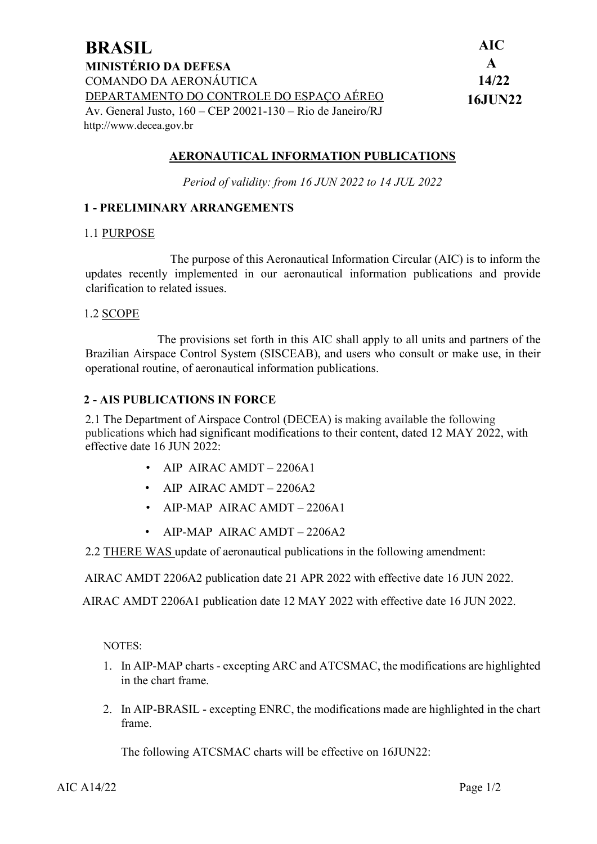| <b>BRASIL</b>                                                | <b>AIC</b>     |
|--------------------------------------------------------------|----------------|
| <b>MINISTÉRIO DA DEFESA</b>                                  | $\mathbf{A}$   |
| COMANDO DA AERONÁUTICA                                       | 14/22          |
| DEPARTAMENTO DO CONTROLE DO ESPAÇO AÉREO                     | <b>16JUN22</b> |
| Av. General Justo, $160 - CEP$ 20021-130 – Rio de Janeiro/RJ |                |
| http://www.decea.gov.br                                      |                |

## **AERONAUTICAL INFORMATION PUBLICATIONS**

*Period of validity: from 16 JUN 2022 to 14 JUL 2022*

### **1 - PRELIMINARY ARRANGEMENTS**

#### 1.1 PURPOSE

The purpose of this Aeronautical Information Circular (AIC) is to inform the updates recently implemented in our aeronautical information publications and provide clarification to related issues.

#### 1.2 SCOPE

The provisions set forth in this AIC shall apply to all units and partners of the Brazilian Airspace Control System (SISCEAB), and users who consult or make use, in their operational routine, of aeronautical information publications.

### **2 - AIS PUBLICATIONS IN FORCE**

2.1 The Department of Airspace Control (DECEA) is making available the following publications which had significant modifications to their content, dated 12 MAY 2022, with effective date 16 JUN 2022:

- AIP AIRAC AMDT  $-2206A1$
- AIP AIRAC AMDT 2206A2
- AIP-MAP AIRAC AMDT 2206A1
- AIP-MAP AIRAC AMDT 2206A2

2.2 THERE WAS update of aeronautical publications in the following amendment:

AIRAC AMDT 2206A2 publication date 21 APR 2022 with effective date 16 JUN 2022.

AIRAC AMDT 2206A1 publication date 12 MAY 2022 with effective date 16 JUN 2022.

NOTES:

- 1. In AIP-MAP charts excepting ARC and ATCSMAC, the modifications are highlighted in the chart frame.
- 2. In AIP-BRASIL excepting ENRC, the modifications made are highlighted in the chart frame.

The following ATCSMAC charts will be effective on 16JUN22: